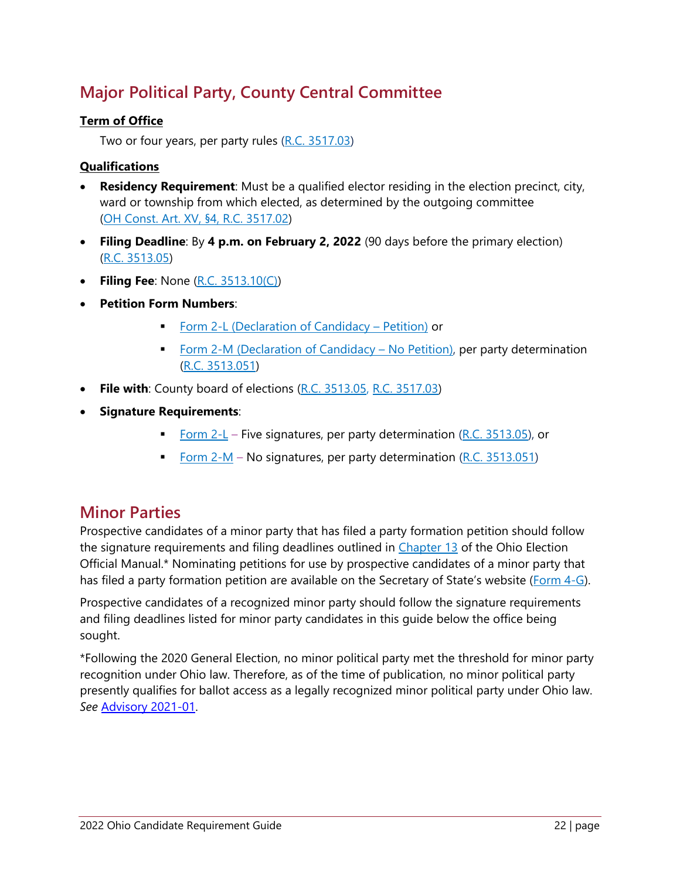## **Major Political Party, County Central Committee**

#### **Term of Office**

Two or four years, per party rules (R.C. 3517.03)

#### **Qualifications**

- **Residency Requirement**: Must be a qualified elector residing in the election precinct, city, ward or township from which elected, as determined by the outgoing committee (OH Const. Art. XV, §4, R.C. 3517.02)
- **Filing Deadline**: By **4 p.m. on February 2, 2022** (90 days before the primary election) (R.C. 3513.05)
- **Filing Fee**: None (R.C. 3513.10(C))
- **Petition Form Numbers**:
	- **Form 2-L (Declaration of Candidacy Petition) or**
	- Form 2-M (Declaration of Candidacy No Petition), per party determination (R.C. 3513.051)
- **File with:** County board of elections (R.C. 3513.05, R.C. 3517.03)
- **Signature Requirements**:
	- Form 2-L Five signatures, per party determination (R.C. 3513.05), or
	- Form  $2-M$  No signatures, per party determination (R.C. 3513.051)

### **Minor Parties**

Prospective candidates of a minor party that has filed a party formation petition should follow the signature requirements and filing deadlines outlined in Chapter 13 of the Ohio Election Official Manual.\* Nominating petitions for use by prospective candidates of a minor party that has filed a party formation petition are available on the Secretary of State's website (Form 4-G).

Prospective candidates of a recognized minor party should follow the signature requirements and filing deadlines listed for minor party candidates in this guide below the office being sought.

\*Following the 2020 General Election, no minor political party met the threshold for minor party recognition under Ohio law. Therefore, as of the time of publication, no minor political party presently qualifies for ballot access as a legally recognized minor political party under Ohio law. *See* Advisory 2021-01.